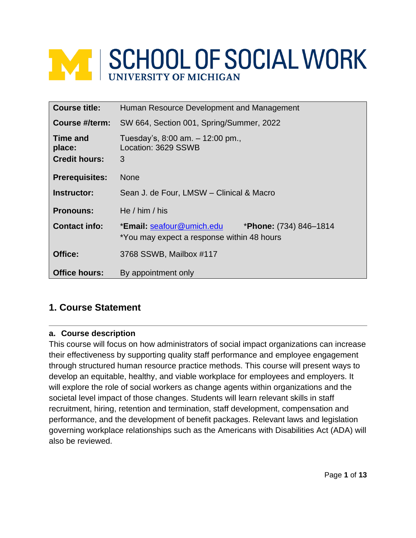# **NEWS AND SCHOOL OF SOCIAL WORK**

| <b>Course title:</b>                              | Human Resource Development and Management                                                                  |
|---------------------------------------------------|------------------------------------------------------------------------------------------------------------|
| Course #/term:                                    | SW 664, Section 001, Spring/Summer, 2022                                                                   |
| <b>Time and</b><br>place:<br><b>Credit hours:</b> | Tuesday's, $8:00$ am. $-12:00$ pm.,<br>Location: 3629 SSWB<br>3                                            |
| <b>Prerequisites:</b>                             | <b>None</b>                                                                                                |
| Instructor:                                       | Sean J. de Four, LMSW - Clinical & Macro                                                                   |
| <b>Pronouns:</b>                                  | He $/$ him $/$ his                                                                                         |
| <b>Contact info:</b>                              | *Email: seafour@umich.edu<br><b>*Phone:</b> $(734)$ 846–1814<br>*You may expect a response within 48 hours |
| Office:                                           | 3768 SSWB, Mailbox #117                                                                                    |
| <b>Office hours:</b>                              | By appointment only                                                                                        |

# **1. Course Statement**

#### **a. Course description**

This course will focus on how administrators of social impact organizations can increase their effectiveness by supporting quality staff performance and employee engagement through structured human resource practice methods. This course will present ways to develop an equitable, healthy, and viable workplace for employees and employers. It will explore the role of social workers as change agents within organizations and the societal level impact of those changes. Students will learn relevant skills in staff recruitment, hiring, retention and termination, staff development, compensation and performance, and the development of benefit packages. Relevant laws and legislation governing workplace relationships such as the Americans with Disabilities Act (ADA) will also be reviewed.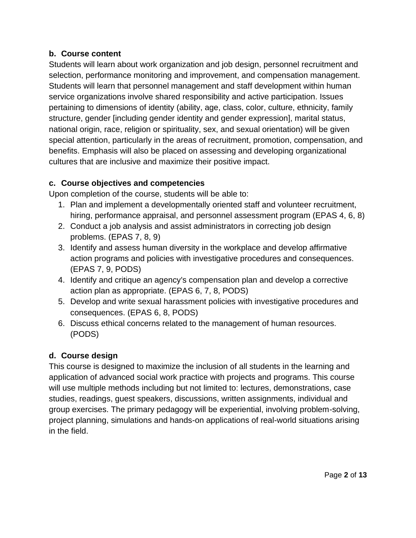## **b. Course content**

Students will learn about work organization and job design, personnel recruitment and selection, performance monitoring and improvement, and compensation management. Students will learn that personnel management and staff development within human service organizations involve shared responsibility and active participation. Issues pertaining to dimensions of identity (ability, age, class, color, culture, ethnicity, family structure, gender [including gender identity and gender expression], marital status, national origin, race, religion or spirituality, sex, and sexual orientation) will be given special attention, particularly in the areas of recruitment, promotion, compensation, and benefits. Emphasis will also be placed on assessing and developing organizational cultures that are inclusive and maximize their positive impact.

# **c. Course objectives and competencies**

Upon completion of the course, students will be able to:

- 1. Plan and implement a developmentally oriented staff and volunteer recruitment, hiring, performance appraisal, and personnel assessment program (EPAS 4, 6, 8)
- 2. Conduct a job analysis and assist administrators in correcting job design problems. (EPAS 7, 8, 9)
- 3. Identify and assess human diversity in the workplace and develop affirmative action programs and policies with investigative procedures and consequences. (EPAS 7, 9, PODS)
- 4. Identify and critique an agency's compensation plan and develop a corrective action plan as appropriate. (EPAS 6, 7, 8, PODS)
- 5. Develop and write sexual harassment policies with investigative procedures and consequences. (EPAS 6, 8, PODS)
- 6. Discuss ethical concerns related to the management of human resources. (PODS)

# **d. Course design**

This course is designed to maximize the inclusion of all students in the learning and application of advanced social work practice with projects and programs. This course will use multiple methods including but not limited to: lectures, demonstrations, case studies, readings, guest speakers, discussions, written assignments, individual and group exercises. The primary pedagogy will be experiential, involving problem-solving, project planning, simulations and hands-on applications of real-world situations arising in the field.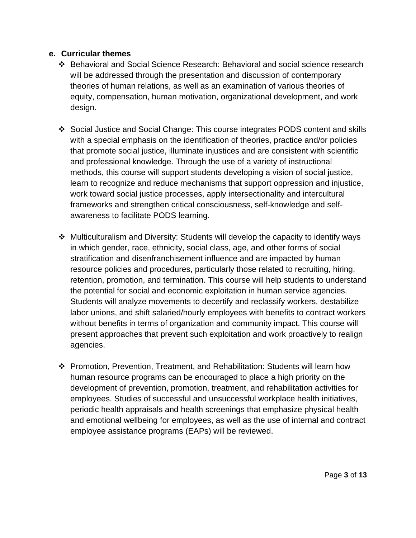#### **e. Curricular themes**

- ❖ Behavioral and Social Science Research: Behavioral and social science research will be addressed through the presentation and discussion of contemporary theories of human relations, as well as an examination of various theories of equity, compensation, human motivation, organizational development, and work design.
- ❖ Social Justice and Social Change: This course integrates PODS content and skills with a special emphasis on the identification of theories, practice and/or policies that promote social justice, illuminate injustices and are consistent with scientific and professional knowledge. Through the use of a variety of instructional methods, this course will support students developing a vision of social justice, learn to recognize and reduce mechanisms that support oppression and injustice, work toward social justice processes, apply intersectionality and intercultural frameworks and strengthen critical consciousness, self-knowledge and selfawareness to facilitate PODS learning.
- ❖ Multiculturalism and Diversity: Students will develop the capacity to identify ways in which gender, race, ethnicity, social class, age, and other forms of social stratification and disenfranchisement influence and are impacted by human resource policies and procedures, particularly those related to recruiting, hiring, retention, promotion, and termination. This course will help students to understand the potential for social and economic exploitation in human service agencies. Students will analyze movements to decertify and reclassify workers, destabilize labor unions, and shift salaried/hourly employees with benefits to contract workers without benefits in terms of organization and community impact. This course will present approaches that prevent such exploitation and work proactively to realign agencies.
- ❖ Promotion, Prevention, Treatment, and Rehabilitation: Students will learn how human resource programs can be encouraged to place a high priority on the development of prevention, promotion, treatment, and rehabilitation activities for employees. Studies of successful and unsuccessful workplace health initiatives, periodic health appraisals and health screenings that emphasize physical health and emotional wellbeing for employees, as well as the use of internal and contract employee assistance programs (EAPs) will be reviewed.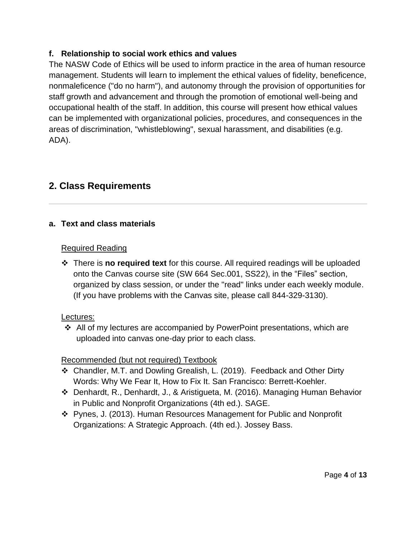# **f. Relationship to social work ethics and values**

The NASW Code of Ethics will be used to inform practice in the area of human resource management. Students will learn to implement the ethical values of fidelity, beneficence, nonmaleficence ("do no harm"), and autonomy through the provision of opportunities for staff growth and advancement and through the promotion of emotional well-being and occupational health of the staff. In addition, this course will present how ethical values can be implemented with organizational policies, procedures, and consequences in the areas of discrimination, "whistleblowing", sexual harassment, and disabilities (e.g. ADA).

# **2. Class Requirements**

# **a. Text and class materials**

#### Required Reading

❖ There is **no required text** for this course. All required readings will be uploaded onto the Canvas course site (SW 664 Sec.001, SS22), in the "Files" section, organized by class session, or under the "read" links under each weekly module. (If you have problems with the Canvas site, please call 844-329-3130).

## Lectures:

❖ All of my lectures are accompanied by PowerPoint presentations, which are uploaded into canvas one-day prior to each class.

# Recommended (but not required) Textbook

- ❖ Chandler, M.T. and Dowling Grealish, L. (2019). Feedback and Other Dirty Words: Why We Fear It, How to Fix It. San Francisco: Berrett-Koehler.
- ❖ Denhardt, R., Denhardt, J., & Aristigueta, M. (2016). Managing Human Behavior in Public and Nonprofit Organizations (4th ed.). SAGE.
- ❖ Pynes, J. (2013). Human Resources Management for Public and Nonprofit Organizations: A Strategic Approach. (4th ed.). Jossey Bass.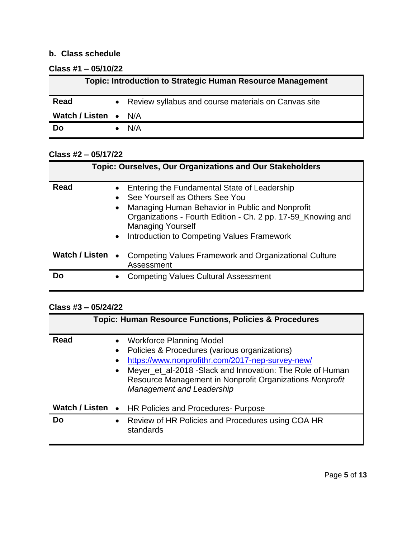# **b. Class schedule**

## **Class #1 – 05/10/22**

|                             | Topic: Introduction to Strategic Human Resource Management |
|-----------------------------|------------------------------------------------------------|
| Read                        | • Review syllabus and course materials on Canvas site      |
| <b>Watch / Listen •</b> N/A |                                                            |
| <b>Do</b>                   | N/A                                                        |

# **Class #2 – 05/17/22**

|                       | <b>Topic: Ourselves, Our Organizations and Our Stakeholders</b>                                                                                                                                                                                                                                       |
|-----------------------|-------------------------------------------------------------------------------------------------------------------------------------------------------------------------------------------------------------------------------------------------------------------------------------------------------|
| <b>Read</b>           | Entering the Fundamental State of Leadership<br>See Yourself as Others See You<br>Managing Human Behavior in Public and Nonprofit<br>$\bullet$<br>Organizations - Fourth Edition - Ch. 2 pp. 17-59_Knowing and<br><b>Managing Yourself</b><br>Introduction to Competing Values Framework<br>$\bullet$ |
| <b>Watch / Listen</b> | Competing Values Framework and Organizational Culture<br>$\bullet$<br>Assessment                                                                                                                                                                                                                      |
| Dο                    | <b>Competing Values Cultural Assessment</b>                                                                                                                                                                                                                                                           |

# **Class #3 – 05/24/22**

|                       | <b>Topic: Human Resource Functions, Policies &amp; Procedures</b>                                                                                                                                                                                                                                              |
|-----------------------|----------------------------------------------------------------------------------------------------------------------------------------------------------------------------------------------------------------------------------------------------------------------------------------------------------------|
| Read                  | <b>Workforce Planning Model</b><br>Policies & Procedures (various organizations)<br>https://www.nonprofithr.com/2017-nep-survey-new/<br>Meyer_et_al-2018 -Slack and Innovation: The Role of Human<br>$\bullet$<br>Resource Management in Nonprofit Organizations Nonprofit<br><b>Management and Leadership</b> |
| <b>Watch / Listen</b> | HR Policies and Procedures- Purpose<br>$\bullet$                                                                                                                                                                                                                                                               |
| Do                    | Review of HR Policies and Procedures using COA HR<br>standards                                                                                                                                                                                                                                                 |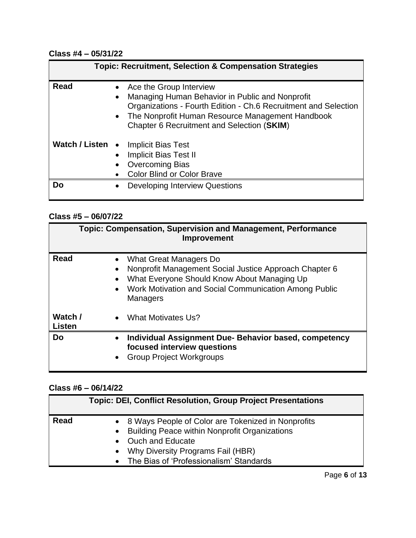# **Class #4 – 05/31/22**

|                       | <b>Topic: Recruitment, Selection &amp; Compensation Strategies</b>                                                                                                                                                                                           |
|-----------------------|--------------------------------------------------------------------------------------------------------------------------------------------------------------------------------------------------------------------------------------------------------------|
| <b>Read</b>           | Ace the Group Interview<br>Managing Human Behavior in Public and Nonprofit<br>$\bullet$<br>Organizations - Fourth Edition - Ch.6 Recruitment and Selection<br>The Nonprofit Human Resource Management Handbook<br>Chapter 6 Recruitment and Selection (SKIM) |
| <b>Watch / Listen</b> | <b>Implicit Bias Test</b><br>$\bullet$<br><b>Implicit Bias Test II</b><br><b>Overcoming Bias</b><br><b>Color Blind or Color Brave</b>                                                                                                                        |
| Do                    | <b>Developing Interview Questions</b>                                                                                                                                                                                                                        |

# **Class #5 – 06/07/22**

|                          | Topic: Compensation, Supervision and Management, Performance<br><b>Improvement</b>                                                                                                                          |
|--------------------------|-------------------------------------------------------------------------------------------------------------------------------------------------------------------------------------------------------------|
| Read                     | What Great Managers Do<br>Nonprofit Management Social Justice Approach Chapter 6<br>What Everyone Should Know About Managing Up<br>Work Motivation and Social Communication Among Public<br><b>Managers</b> |
| Watch /<br><b>Listen</b> | What Motivates Us?<br>$\bullet$                                                                                                                                                                             |
| Do                       | Individual Assignment Due-Behavior based, competency<br>$\bullet$<br>focused interview questions<br><b>Group Project Workgroups</b><br>$\bullet$                                                            |

## **Class #6 – 06/14/22**

| <b>Read</b><br>• 8 Ways People of Color are Tokenized in Nonprofits<br>$\bullet$                     | <b>Topic: DEI, Conflict Resolution, Group Project Presentations</b> |
|------------------------------------------------------------------------------------------------------|---------------------------------------------------------------------|
| • Ouch and Educate<br>Why Diversity Programs Fail (HBR)<br>• The Bias of 'Professionalism' Standards | <b>Building Peace within Nonprofit Organizations</b>                |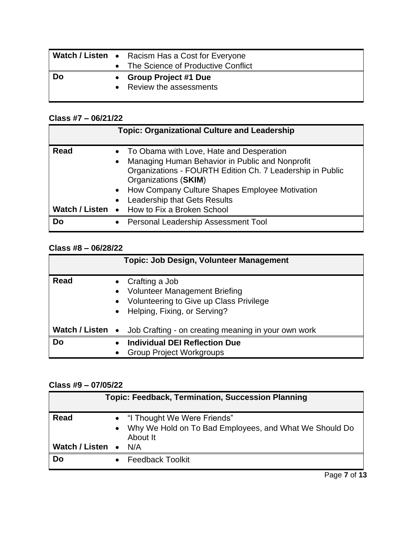|           | Watch / Listen • Racism Has a Cost for Everyone         |
|-----------|---------------------------------------------------------|
|           | • The Science of Productive Conflict                    |
| <b>Do</b> |                                                         |
|           | <b>Group Project #1 Due</b><br>• Review the assessments |

# **Class #7 – 06/21/22**

|                               | <b>Topic: Organizational Culture and Leadership</b>                                                                                                                                                                                                                                                                      |
|-------------------------------|--------------------------------------------------------------------------------------------------------------------------------------------------------------------------------------------------------------------------------------------------------------------------------------------------------------------------|
| <b>Read</b><br>Watch / Listen | • To Obama with Love, Hate and Desperation<br>Managing Human Behavior in Public and Nonprofit<br>$\bullet$<br>Organizations - FOURTH Edition Ch. 7 Leadership in Public<br>Organizations (SKIM)<br>How Company Culture Shapes Employee Motivation<br><b>Leadership that Gets Results</b><br>• How to Fix a Broken School |
| <b>Do</b>                     | Personal Leadership Assessment Tool                                                                                                                                                                                                                                                                                      |

# **Class #8 – 06/28/22**

|                | <b>Topic: Job Design, Volunteer Management</b>                                                                                                                           |
|----------------|--------------------------------------------------------------------------------------------------------------------------------------------------------------------------|
| <b>Read</b>    | Crafting a Job<br><b>Volunteer Management Briefing</b><br>$\bullet$<br>Volunteering to Give up Class Privilege<br>$\bullet$<br>Helping, Fixing, or Serving?<br>$\bullet$ |
| Watch / Listen | Job Crafting - on creating meaning in your own work<br>$\bullet$                                                                                                         |
| Do             | <b>Individual DEI Reflection Due</b><br><b>Group Project Workgroups</b>                                                                                                  |
|                |                                                                                                                                                                          |

# **Class #9 – 07/05/22**

|                  | <b>Topic: Feedback, Termination, Succession Planning</b>                                              |
|------------------|-------------------------------------------------------------------------------------------------------|
| <b>Read</b>      | • "I Thought We Were Friends"<br>• Why We Hold on To Bad Employees, and What We Should Do<br>About It |
| Watch / Listen • | N/A                                                                                                   |
| Do               | <b>Feedback Toolkit</b>                                                                               |

Page **7** of **13**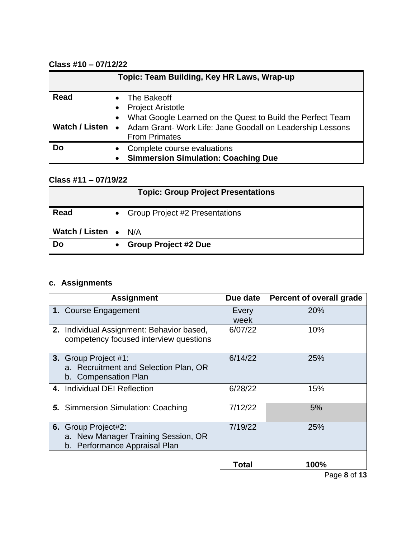# **Class #10 – 07/12/22**

|                | Topic: Team Building, Key HR Laws, Wrap-up                                                                             |
|----------------|------------------------------------------------------------------------------------------------------------------------|
| <b>Read</b>    | • The Bakeoff<br><b>Project Aristotle</b><br>$\bullet$<br>• What Google Learned on the Quest to Build the Perfect Team |
| Watch / Listen | Adam Grant- Work Life: Jane Goodall on Leadership Lessons<br>$\bullet$<br><b>From Primates</b>                         |
| Do             | Complete course evaluations<br>$\bullet$<br><b>Simmersion Simulation: Coaching Due</b><br>$\bullet$                    |

# **Class #11 – 07/19/22**

| <b>Topic: Group Project Presentations</b> |           |                                |  |  |  |
|-------------------------------------------|-----------|--------------------------------|--|--|--|
| Read                                      | $\bullet$ | Group Project #2 Presentations |  |  |  |
| <b>Watch / Listen</b> •                   |           | N/A                            |  |  |  |
| Do                                        |           | <b>Group Project #2 Due</b>    |  |  |  |

# **c. Assignments**

| <b>Assignment</b>                                                                           | Due date      | Percent of overall grade |
|---------------------------------------------------------------------------------------------|---------------|--------------------------|
| 1. Course Engagement                                                                        | Every<br>week | 20%                      |
| 2. Individual Assignment: Behavior based,<br>competency focused interview questions         | 6/07/22       | 10%                      |
| 3. Group Project #1:<br>a. Recruitment and Selection Plan, OR<br>b. Compensation Plan       | 6/14/22       | 25%                      |
| 4. Individual DEI Reflection                                                                | 6/28/22       | 15%                      |
| <b>5.</b> Simmersion Simulation: Coaching                                                   | 7/12/22       | 5%                       |
| 6. Group Project#2:<br>a. New Manager Training Session, OR<br>b. Performance Appraisal Plan | 7/19/22       | 25%                      |
|                                                                                             | Total         | 100%                     |

Page **8** of **13**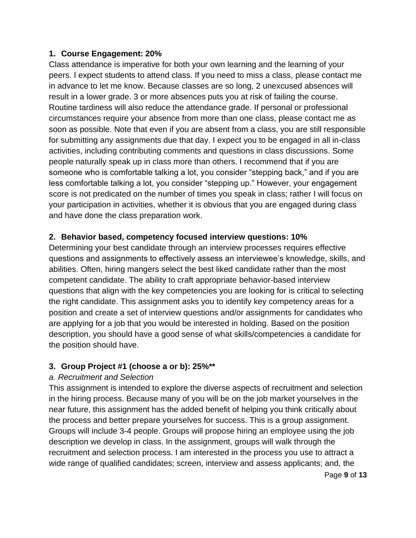### **1. Course Engagement: 20%**

Class attendance is imperative for both your own learning and the learning of your peers. I expect students to attend class. If you need to miss a class, please contact me in advance to let me know. Because classes are so long, 2 unexcused absences will result in a lower grade. 3 or more absences puts you at risk of failing the course. Routine tardiness will also reduce the attendance grade. If personal or professional circumstances require your absence from more than one class, please contact me as soon as possible. Note that even if you are absent from a class, you are still responsible for submitting any assignments due that day. I expect you to be engaged in all in-class activities, including contributing comments and questions in class discussions. Some people naturally speak up in class more than others. I recommend that if you are someone who is comfortable talking a lot, you consider "stepping back," and if you are less comfortable talking a lot, you consider "stepping up." However, your engagement score is not predicated on the number of times you speak in class; rather I will focus on your participation in activities, whether it is obvious that you are engaged during class and have done the class preparation work.

## **2. Behavior based, competency focused interview questions: 10%**

Determining your best candidate through an interview processes requires effective questions and assignments to effectively assess an interviewee's knowledge, skills, and abilities. Often, hiring mangers select the best liked candidate rather than the most competent candidate. The ability to craft appropriate behavior-based interview questions that align with the key competencies you are looking for is critical to selecting the right candidate. This assignment asks you to identify key competency areas for a position and create a set of interview questions and/or assignments for candidates who are applying for a job that you would be interested in holding. Based on the position description, you should have a good sense of what skills/competencies a candidate for the position should have.

## **3. Group Project #1 (choose a or b): 25%\*\***

## *a. Recruitment and Selection*

This assignment is intended to explore the diverse aspects of recruitment and selection in the hiring process. Because many of you will be on the job market yourselves in the near future, this assignment has the added benefit of helping you think critically about the process and better prepare yourselves for success. This is a group assignment. Groups will include 3-4 people. Groups will propose hiring an employee using the job description we develop in class. In the assignment, groups will walk through the recruitment and selection process. I am interested in the process you use to attract a wide range of qualified candidates; screen, interview and assess applicants; and, the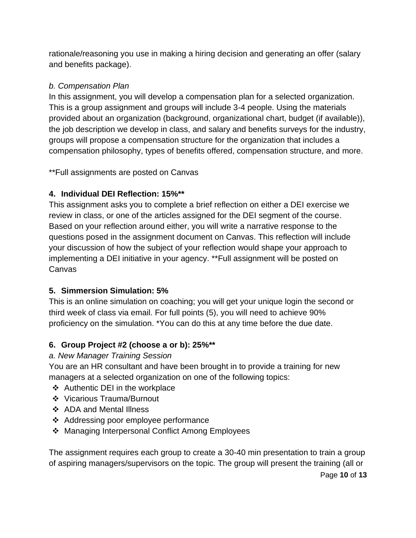rationale/reasoning you use in making a hiring decision and generating an offer (salary and benefits package).

# *b. Compensation Plan*

In this assignment, you will develop a compensation plan for a selected organization. This is a group assignment and groups will include 3-4 people. Using the materials provided about an organization (background, organizational chart, budget (if available)), the job description we develop in class, and salary and benefits surveys for the industry, groups will propose a compensation structure for the organization that includes a compensation philosophy, types of benefits offered, compensation structure, and more.

\*\*Full assignments are posted on Canvas

# **4. Individual DEI Reflection: 15%\*\***

This assignment asks you to complete a brief reflection on either a DEI exercise we review in class, or one of the articles assigned for the DEI segment of the course. Based on your reflection around either, you will write a narrative response to the questions posed in the assignment document on Canvas. This reflection will include your discussion of how the subject of your reflection would shape your approach to implementing a DEI initiative in your agency. \*\*Full assignment will be posted on Canvas

# **5. Simmersion Simulation: 5%**

This is an online simulation on coaching; you will get your unique login the second or third week of class via email. For full points (5), you will need to achieve 90% proficiency on the simulation. \*You can do this at any time before the due date.

# **6. Group Project #2 (choose a or b): 25%\*\***

# *a. New Manager Training Session*

You are an HR consultant and have been brought in to provide a training for new managers at a selected organization on one of the following topics:

- ❖ Authentic DEI in the workplace
- ❖ Vicarious Trauma/Burnout
- ❖ ADA and Mental Illness
- ❖ Addressing poor employee performance
- ❖ Managing Interpersonal Conflict Among Employees

The assignment requires each group to create a 30-40 min presentation to train a group of aspiring managers/supervisors on the topic. The group will present the training (all or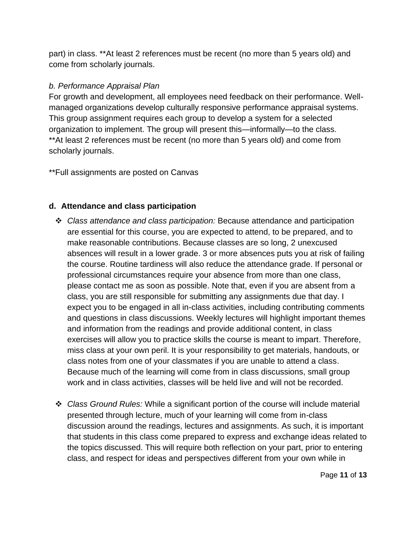part) in class. \*\*At least 2 references must be recent (no more than 5 years old) and come from scholarly journals.

## *b. Performance Appraisal Plan*

For growth and development, all employees need feedback on their performance. Wellmanaged organizations develop culturally responsive performance appraisal systems. This group assignment requires each group to develop a system for a selected organization to implement. The group will present this—informally—to the class. \*\*At least 2 references must be recent (no more than 5 years old) and come from scholarly journals.

\*\*Full assignments are posted on Canvas

# **d. Attendance and class participation**

- ❖ *Class attendance and class participation:* Because attendance and participation are essential for this course, you are expected to attend, to be prepared, and to make reasonable contributions. Because classes are so long, 2 unexcused absences will result in a lower grade. 3 or more absences puts you at risk of failing the course. Routine tardiness will also reduce the attendance grade. If personal or professional circumstances require your absence from more than one class, please contact me as soon as possible. Note that, even if you are absent from a class, you are still responsible for submitting any assignments due that day. I expect you to be engaged in all in-class activities, including contributing comments and questions in class discussions. Weekly lectures will highlight important themes and information from the readings and provide additional content, in class exercises will allow you to practice skills the course is meant to impart. Therefore, miss class at your own peril. It is your responsibility to get materials, handouts, or class notes from one of your classmates if you are unable to attend a class. Because much of the learning will come from in class discussions, small group work and in class activities, classes will be held live and will not be recorded.
- ❖ *Class Ground Rules:* While a significant portion of the course will include material presented through lecture, much of your learning will come from in-class discussion around the readings, lectures and assignments. As such, it is important that students in this class come prepared to express and exchange ideas related to the topics discussed. This will require both reflection on your part, prior to entering class, and respect for ideas and perspectives different from your own while in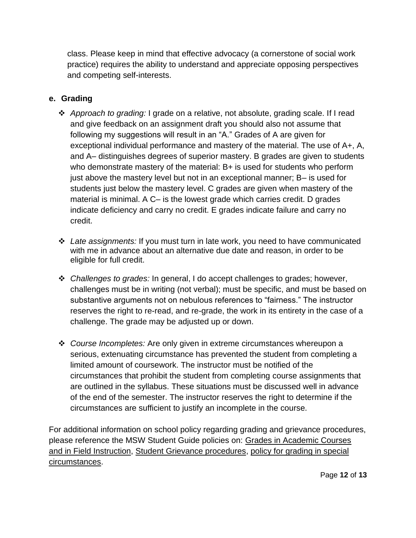class. Please keep in mind that effective advocacy (a cornerstone of social work practice) requires the ability to understand and appreciate opposing perspectives and competing self-interests.

# **e. Grading**

- ❖ *Approach to grading:* I grade on a relative, not absolute, grading scale. If I read and give feedback on an assignment draft you should also not assume that following my suggestions will result in an "A." Grades of A are given for exceptional individual performance and mastery of the material. The use of A+, A, and A– distinguishes degrees of superior mastery. B grades are given to students who demonstrate mastery of the material: B+ is used for students who perform just above the mastery level but not in an exceptional manner; B– is used for students just below the mastery level. C grades are given when mastery of the material is minimal. A C– is the lowest grade which carries credit. D grades indicate deficiency and carry no credit. E grades indicate failure and carry no credit.
- ❖ *Late assignments:* If you must turn in late work, you need to have communicated with me in advance about an alternative due date and reason, in order to be eligible for full credit.
- ❖ *Challenges to grades:* In general, I do accept challenges to grades; however, challenges must be in writing (not verbal); must be specific, and must be based on substantive arguments not on nebulous references to "fairness." The instructor reserves the right to re-read, and re-grade, the work in its entirety in the case of a challenge. The grade may be adjusted up or down.
- ❖ *Course Incompletes:* Are only given in extreme circumstances whereupon a serious, extenuating circumstance has prevented the student from completing a limited amount of coursework. The instructor must be notified of the circumstances that prohibit the student from completing course assignments that are outlined in the syllabus. These situations must be discussed well in advance of the end of the semester. The instructor reserves the right to determine if the circumstances are sufficient to justify an incomplete in the course.

For additional information on school policy regarding grading and grievance procedures, please reference the MSW Student Guide policies on: [Grades in Academic Courses](http://ssw.umich.edu/msw-student-guide/chapter/1.08/grades-in-academic-courses-and-in-field-instruction)  [and in Field Instruction,](http://ssw.umich.edu/msw-student-guide/chapter/1.08/grades-in-academic-courses-and-in-field-instruction) [Student Grievance procedures,](http://ssw.umich.edu/msw-student-guide/chapter/1.18/student-grievances) [policy for grading in special](https://ssw.umich.edu/msw-student-guide/section/1.08.01/15/grades-for-special-circumstances)  [circumstances.](https://ssw.umich.edu/msw-student-guide/section/1.08.01/15/grades-for-special-circumstances)